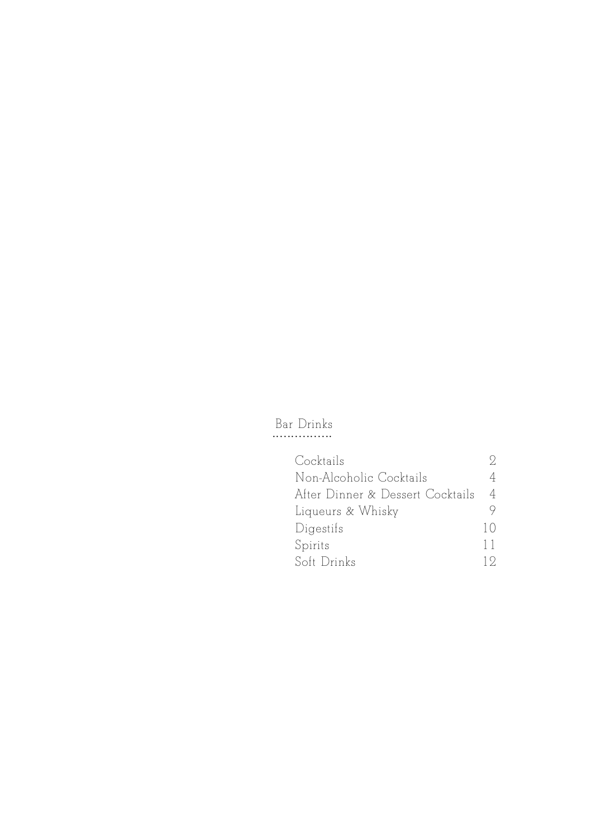# Bar Drinks ................

| Cocktails                        |            |
|----------------------------------|------------|
| Non-Alcoholic Cocktails          |            |
| After Dinner & Dessert Cocktails | 4          |
| Liqueurs & Whisky                |            |
| Digestifs                        | $\vert$ () |
| Spirits                          | 11         |
| Soft Drinks                      | 19         |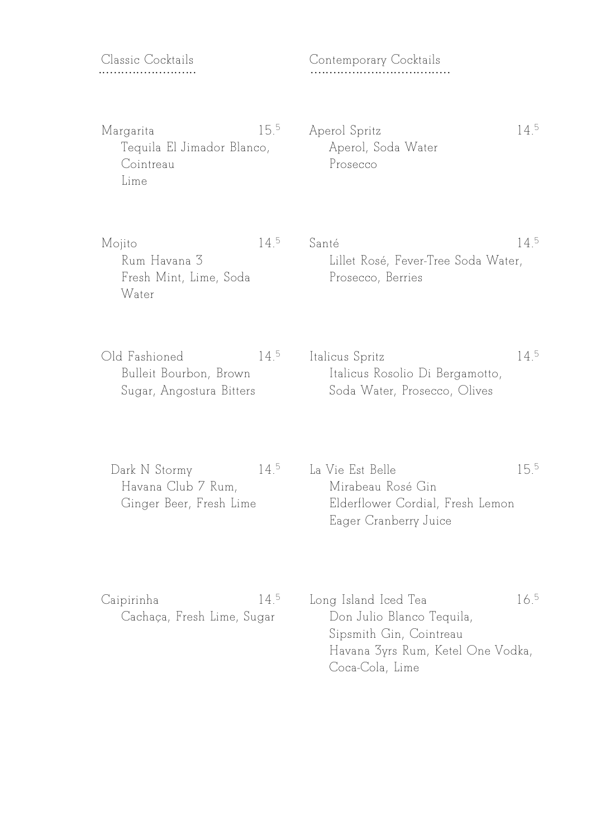## Classic Cocktails ..........................

Contemporary Cocktails .....................................

Margarita 15.  $15.5$ Tequila El Jimador Blanco, Cointreau Lime

Aperol Spritz Aperol, Soda Water Prosecco

Mojito 14.  $14^{5}$ Rum Havana 3 Fresh Mint, Lime, Soda Water

Santé 5 Lillet Rosé, Fever-Tree Soda Water, Prosecco, Berries

5

 $14^{5}$ 

Old Fashioned  $14^5$ Bulleit Bourbon, Brown Sugar, Angostura Bitters Italicus Spritz Italicus Rosolio Di Bergamotto, Soda Water, Prosecco, Olives

Dark N Stormy 5 Havana Club 7 Rum, Ginger Beer, Fresh Lime La Vie Est Belle 15.5 Mirabeau Rosé Gin Elderflower Cordial, Fresh Lemon Eager Cranberry Juice

| Caipirinha                 | $14^{\circ}$ | Long Island Iced Tea              | 165 |
|----------------------------|--------------|-----------------------------------|-----|
| Cachaça, Fresh Lime, Sugar |              | Don Julio Blanco Tequila,         |     |
|                            |              | Sipsmith Gin, Cointreau           |     |
|                            |              | Havana 3yrs Rum, Ketel One Vodka, |     |
|                            |              | Coca-Cola, Lime                   |     |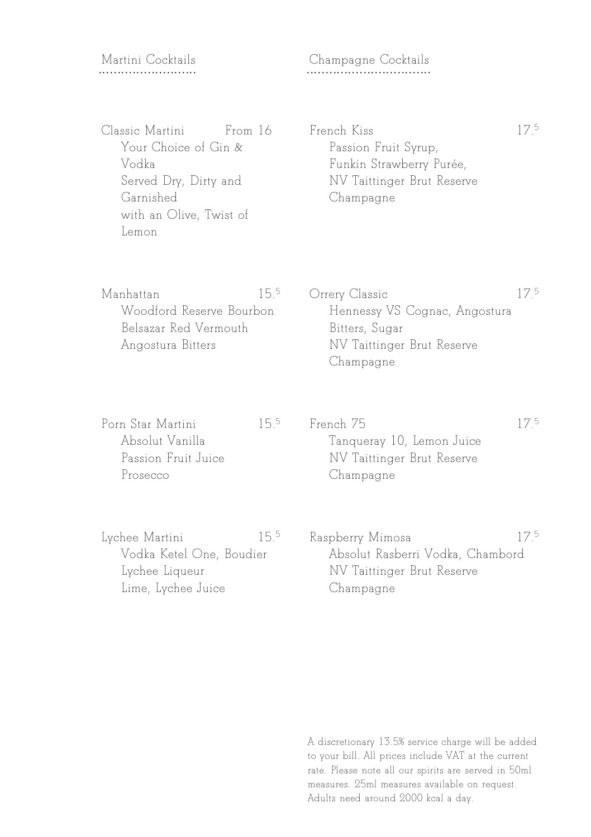## Martini Cocktails ..........................

## Champagne Cocktails .................................

Classic Martini From 16 Your Choice of Gin & Vodka Served Dry, Dirty and Garnished with an Olive, Twist of Lemon

#### French Kiss Passion Fruit Syrup, Funkin Strawberry Purée, NV Taittinger Brut Reserve Champagne

17.5

| Manhattan                | $15.5 -$ | Orrery Classic                | 75 |
|--------------------------|----------|-------------------------------|----|
| Woodford Reserve Bourbon |          | Hennessy VS Cognac, Angostura |    |
| Belsazar Red Vermouth    |          | Bitters, Sugar                |    |
| Angostura Bitters        |          | NV Taittinger Brut Reserve    |    |
|                          |          | Champagne                     |    |

| Porn Star Martini   | 155 | French 75                  | 175 |
|---------------------|-----|----------------------------|-----|
| Absolut Vanilla     |     | Tangueray 10, Lemon Juice  |     |
| Passion Fruit Juice |     | NV Taittinger Brut Reserve |     |
| Prosecco            |     | Champagne                  |     |

| Lychee Martini           | 15.5 | Raspberry Mimosa                 |  |
|--------------------------|------|----------------------------------|--|
| Vodka Ketel One, Boudier |      | Absolut Rasberri Vodka, Chambord |  |
| Lychee Liqueur           |      | NV Taittinger Brut Reserve       |  |
| Lime, Lychee Juice       |      | Champagne                        |  |
|                          |      |                                  |  |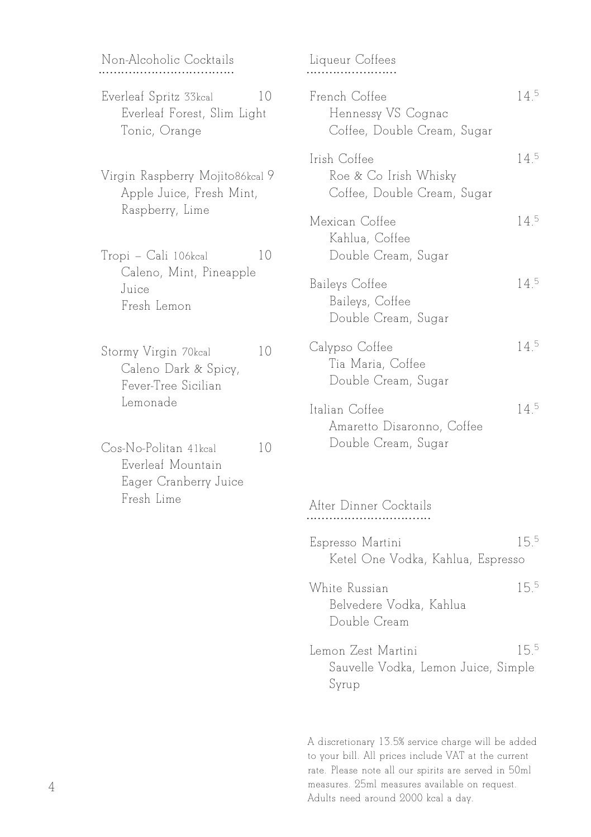Non-Alcoholic Cocktails ....................................

- Everleaf Spritz 33kcal 10 Everleaf Forest, Slim Light Tonic, Orange
- Virgin Raspberry Mojito86kcal 9 Apple Juice, Fresh Mint, Raspberry, Lime

Tropi – Cali 106kcal 10 Caleno, Mint, Pineapple Juice Fresh Lemon

Stormy Virgin 70kcal 10 Caleno Dark & Spicy, Fever-Tree Sicilian Lemonade

Cos-No-Politan 41kcal 10 Everleaf Mountain Eager Cranberry Juice Fresh Lime

| Liqueur Coffees                                                      |                 |
|----------------------------------------------------------------------|-----------------|
| French Coffee<br>Hennessy VS Cognac<br>Coffee, Double Cream, Sugar   | $14^{5}$        |
| Irish Coffee<br>Roe & Co Irish Whisky<br>Coffee, Double Cream, Sugar | $14^{5}$        |
| Mexican Coffee<br>Kahlua, Coffee<br>Double Cream, Sugar              | 14 <sup>5</sup> |
| Baileys Coffee<br>Baileys, Coffee<br>Double Cream, Sugar             | 14 <sup>5</sup> |
| Calypso Coffee<br>Tia Maria, Coffee<br>Double Cream, Sugar           | $14^{5}$        |
| Italian Coffee<br>Amaretto Disaronno, Coffee<br>Double Cream, Sugar  | $14^{5}$        |

After Dinner Cocktails .................................

- Espresso Martini 155 Ketel One Vodka, Kahlua, Espresso
- White Russian 15.5 Belvedere Vodka, Kahlua Double Cream
- Lemon Zest Martini 15.<sup>5</sup> Sauvelle Vodka, Lemon Juice, Simple Syrup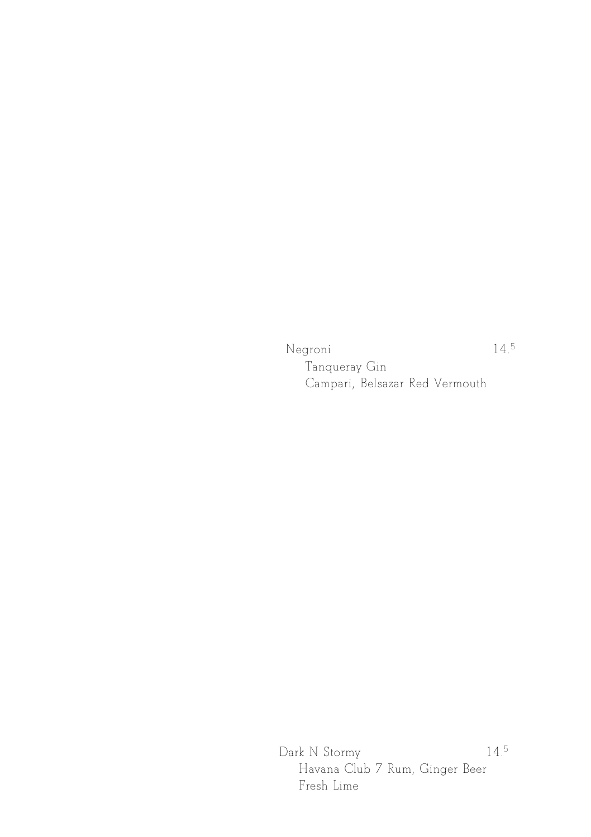Negroni

5

Tanqueray Gin Campari, Belsazar Red Vermouth

Dark N Stormy 14.5 Havana Club 7 Rum, Ginger Beer Fresh Lime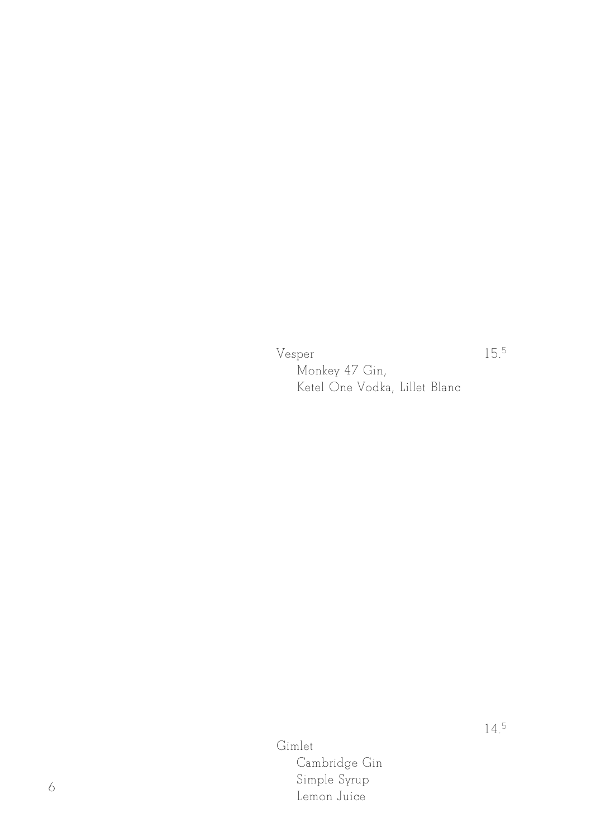Vesper

15.5

Monkey 47 Gin, Ketel One Vodka, Lillet Blanc

Gimlet Cambridge Gin Simple Syrup Lemon Juice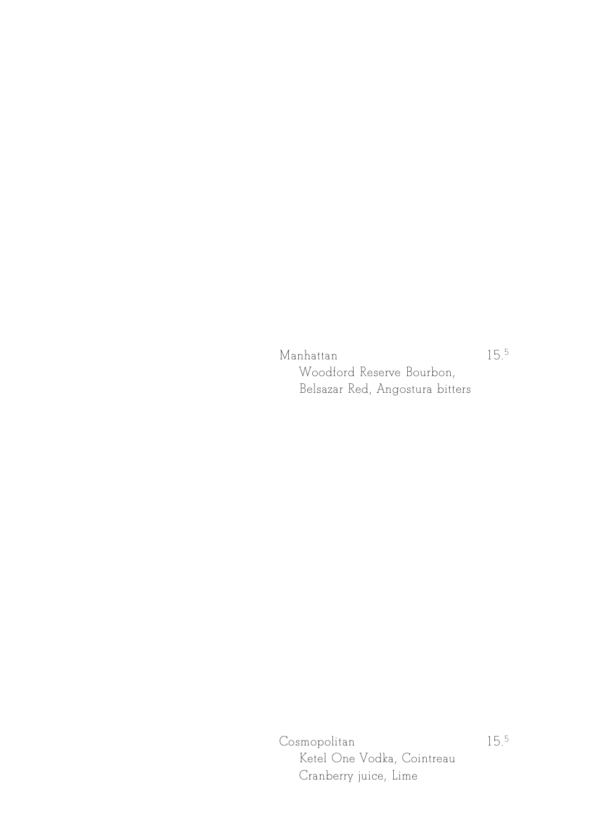Manhattan 15. Woodford Reserve Bourbon, Belsazar Red, Angostura bitters

Cosmopolitan Ketel One Vodka, Cointreau Cranberry juice, Lime

15.5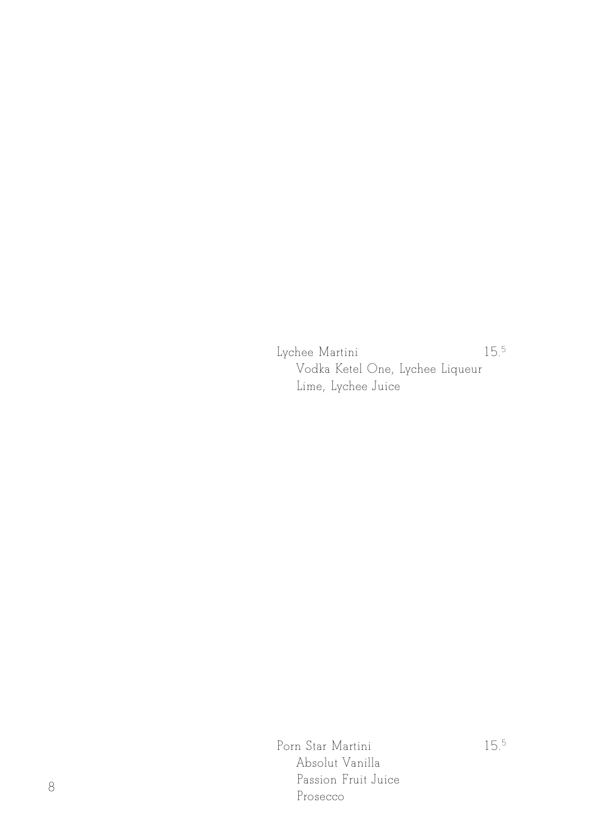Lychee Martini 15.5 Vodka Ketel One, Lychee Liqueur Lime, Lychee Juice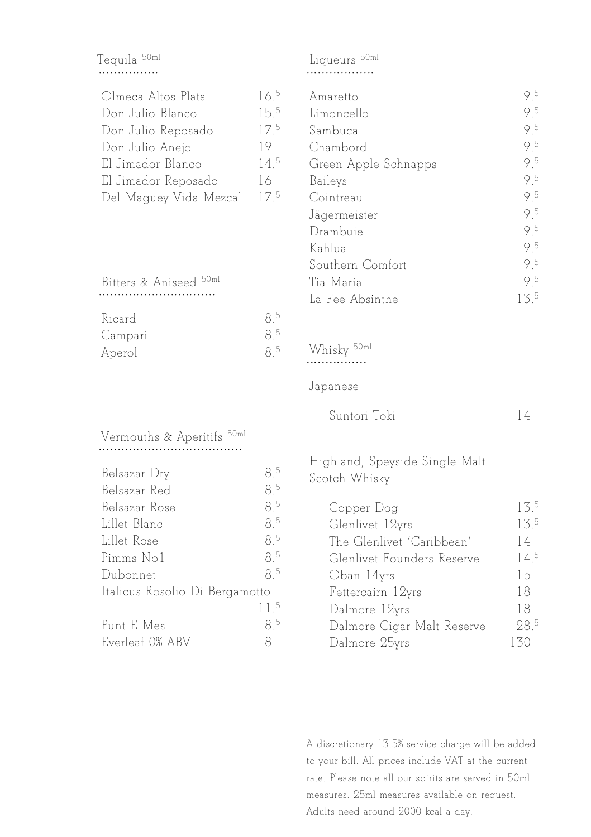## Tequila <sup>50ml</sup><br>................

| Olmeca Altos Plata     | $16^{5}$        |
|------------------------|-----------------|
| Don Julio Blanco       | 15.5            |
| Don Julio Reposado     | 17 <sup>5</sup> |
| Don Julio Anejo        | 19              |
| El Jimador Blanco      | $14^{5}$        |
| El Jimador Reposado    | 16              |
| Del Maguey Vida Mezcal | 175             |

Bitters & Aniseed 50ml ...............................

| Ricard  | 5  |
|---------|----|
| Campari | -5 |
| Aperol  | 5  |

## Vermouths & Aperitifs 50ml

| Belsazar Dry                   | 85              |
|--------------------------------|-----------------|
| Belsazar Red                   | 8 <sup>5</sup>  |
| Belsazar Rose                  | 8 <sup>5</sup>  |
| Lillet Blanc                   | 8 <sup>5</sup>  |
| Lillet Rose                    | 8 <sup>5</sup>  |
| Pimms No1                      | 85              |
| Dubonnet                       | 85              |
| Italicus Rosolio Di Bergamotto |                 |
|                                | 11 <sup>5</sup> |
| Punt E Mes                     | 85              |
| Everleaf 0% ABV                | 8               |

## Liqueurs 50ml

| Amaretto             | 95              |
|----------------------|-----------------|
| Limoncello           | 9.5             |
| Sambuca              | 95              |
| Chambord             | 95              |
| Green Apple Schnapps | 95              |
| Baileys              | 95              |
| Cointreau            | 95              |
| Jägermeister         | 95              |
| Drambuie             | 95              |
| Kahlua               | 95              |
| Southern Comfort     | 95              |
| Tia Maria            | 95              |
| La Fee Absinthe      | 13 <sup>5</sup> |
|                      |                 |

# Whisky 50ml ................

#### Japanese

| Suntori Toki |  |  |
|--------------|--|--|
|--------------|--|--|

#### Highland, Speyside Single Malt Scotch Whisky

| Copper Dog                 | 13 <sup>5</sup> |
|----------------------------|-----------------|
| Glenlivet 12yrs            | 13 <sup>5</sup> |
| The Glenlivet 'Caribbean'  | 14              |
| Glenlivet Founders Reserve | 14 <sup>5</sup> |
| Oban 14yrs                 | 15              |
| Fettercairn 12yrs          | 18              |
| Dalmore 12yrs              | 18              |
| Dalmore Cigar Malt Reserve | 28 <sup>5</sup> |
| Dalmore 25yrs              | 130             |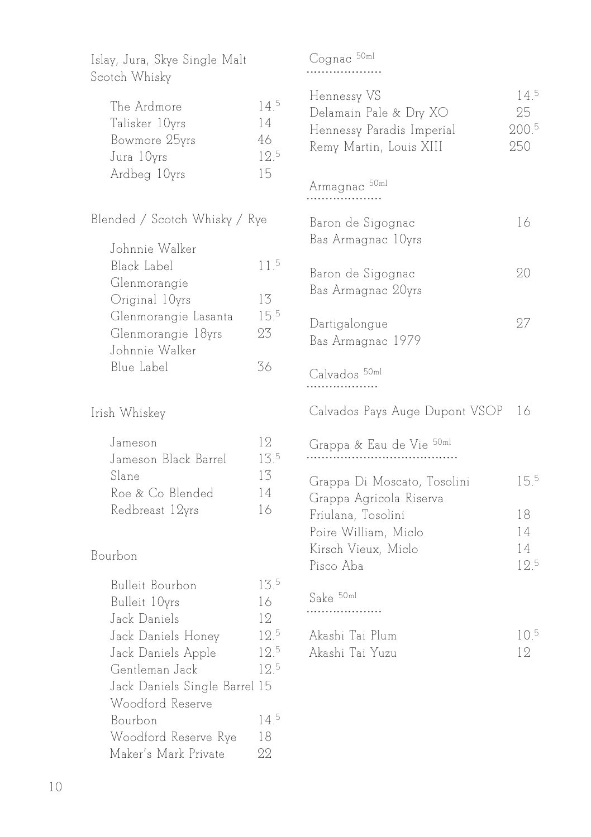| Islay, Jura, Skye Single Malt<br>Scotch Whisky                                                                                                                             |                                           |
|----------------------------------------------------------------------------------------------------------------------------------------------------------------------------|-------------------------------------------|
| The Ardmore<br>Talisker 10yrs<br>Bowmore 25yrs<br>Jura 10yrs<br>Ardbeg 10yrs                                                                                               | 14.5<br>14<br>46<br>12.5<br>15            |
| Blended / Scotch Whisky / Rye                                                                                                                                              |                                           |
| Johnnie Walker<br>Black Label<br>Glenmorangie<br>Original 10yrs<br>Glenmorangie Lasanta<br>Glenmorangie 18yrs<br>Johnnie Walker<br>Blue Label                              | 11 <sup>5</sup><br>13<br>15.5<br>23<br>36 |
| Irish Whiskey                                                                                                                                                              |                                           |
| Jameson<br>Jameson Black Barrel<br>Slane<br>Roe & Co Blended<br>Redbreast 12yrs                                                                                            | 12<br>13.5<br>13<br>14<br>16              |
| Bourbon                                                                                                                                                                    |                                           |
| <b>Bulleit Bourbon</b><br>Bulleit 10yrs<br>Jack Daniels<br>Jack Daniels Honey<br>Jack Daniels Apple<br>Gentleman Jack<br>Jack Daniels Single Barrel 15<br>Woodford Reserve | 13.5<br>16<br>12<br>12.5<br>12.5<br>12.5  |

Bourbon 14.<sup>5</sup><br>Woodford Reserve Rye 18 Woodford Reserve Rye 18

Maker's Mark Private 22

| Cognac |  |  |  |  |  | 1m1 |  |  |
|--------|--|--|--|--|--|-----|--|--|
|        |  |  |  |  |  |     |  |  |

| Hennessy VS<br>Delamain Pale & Dry XO<br>Hennessy Paradis Imperial<br>Remy Martin, Louis XIII | 14.5<br>25<br>200.5<br>250 |
|-----------------------------------------------------------------------------------------------|----------------------------|
| Armagnac <sup>50ml</sup>                                                                      |                            |
| Baron de Sigognac<br>Bas Armagnac 10yrs                                                       | 16                         |
| Baron de Sigognac<br>Bas Armagnac 20yrs                                                       | 20                         |
| Dartigalongue<br>Bas Armagnac 1979                                                            | 27                         |
| Calvados <sup>50ml</sup>                                                                      |                            |
| Calvados Pays Auge Dupont VSOP                                                                | 16                         |
| Grappa & Eau de Vie 50ml                                                                      |                            |
| Grappa Di Moscato, Tosolini<br>Grappa Agricola Riserva                                        | 15.5                       |
| Friulana, Tosolini                                                                            | 18                         |
| Poire William, Miclo                                                                          | 14                         |
| Kirsch Vieux, Miclo<br>Pisco Aba                                                              | 14<br>12.5                 |
| Sake 50ml                                                                                     |                            |

| Akashi Tai Plum | 10 <sup>5</sup> |
|-----------------|-----------------|
| Akashi Tai Yuzu |                 |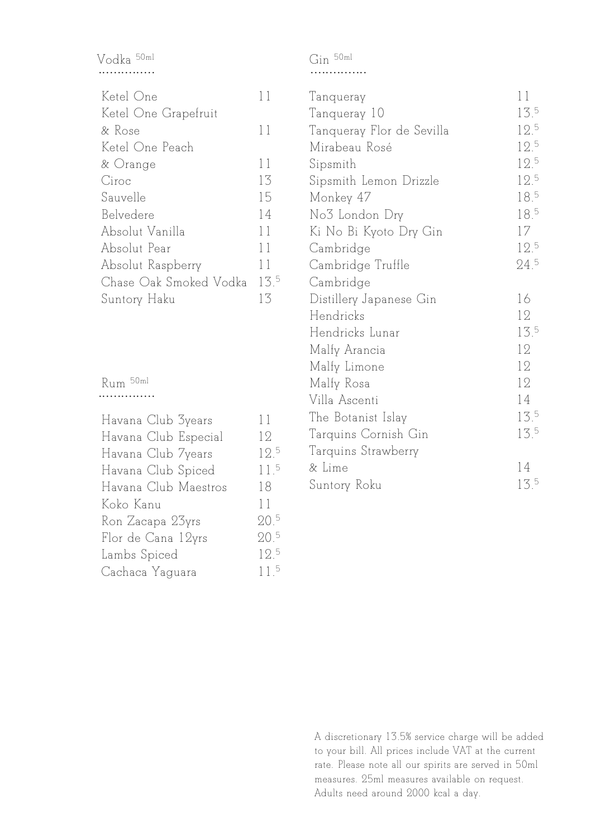## Vodka 50ml ...............

| Ketel One              | 11              |
|------------------------|-----------------|
| Ketel One Grapefruit   |                 |
| & Rose                 | 11              |
| Ketel One Peach        |                 |
| & Orange               | 11              |
| Ciroc                  | 13              |
| Sauvelle               | 15              |
| Belvedere              | 14              |
| Absolut Vanilla        | 11              |
| Absolut Pear           | 11              |
| Absolut Raspberry      | 11              |
| Chase Oak Smoked Vodka | 13 <sup>5</sup> |
| Suntory Haku           | 13              |

Rum 50ml ...............

| Havana Club 3years   | 11              |
|----------------------|-----------------|
| Havana Club Especial | 12              |
| Havana Club 7years   | 12 <sup>5</sup> |
| Havana Club Spiced   | 11 <sup>5</sup> |
| Havana Club Maestros | 18.             |
| Koko Kanu            | 11              |
| Ron Zacapa 23yrs     | 20 <sup>5</sup> |
| Flor de Cana 12yrs   | 20.5            |
| Lambs Spiced         | 12.5            |
| Cachaca Yaguara      | 11.5            |
|                      |                 |

Gin 50ml ............... Tanqueray 11 Tanqueray 10 13.5 Tanqueray Flor de Sevilla 12.5 Mirabeau Rosé 12.5 Sipsmith 12.5 Sipsmith Lemon Drizzle 12.5 Monkey 47 5 No<sup>3</sup> London Dry 18.<sup>5</sup> Ki No Bi Kyoto Dry Gin 17 Cambridge 12.5 Cambridge Truffle 24.5 Cambridge Distillery Japanese Gin 16 Hendricks 12 Hendricks Lunar 13.5 Malfy Arancia 12 Malfy Limone 12 Malfy Rosa 12 Villa Ascenti 14 The Botanist Islay 13.5

Tarquins Cornish Gin 13.5

& Lime 14 Suntory Roku 13.5

Tarquins Strawberry